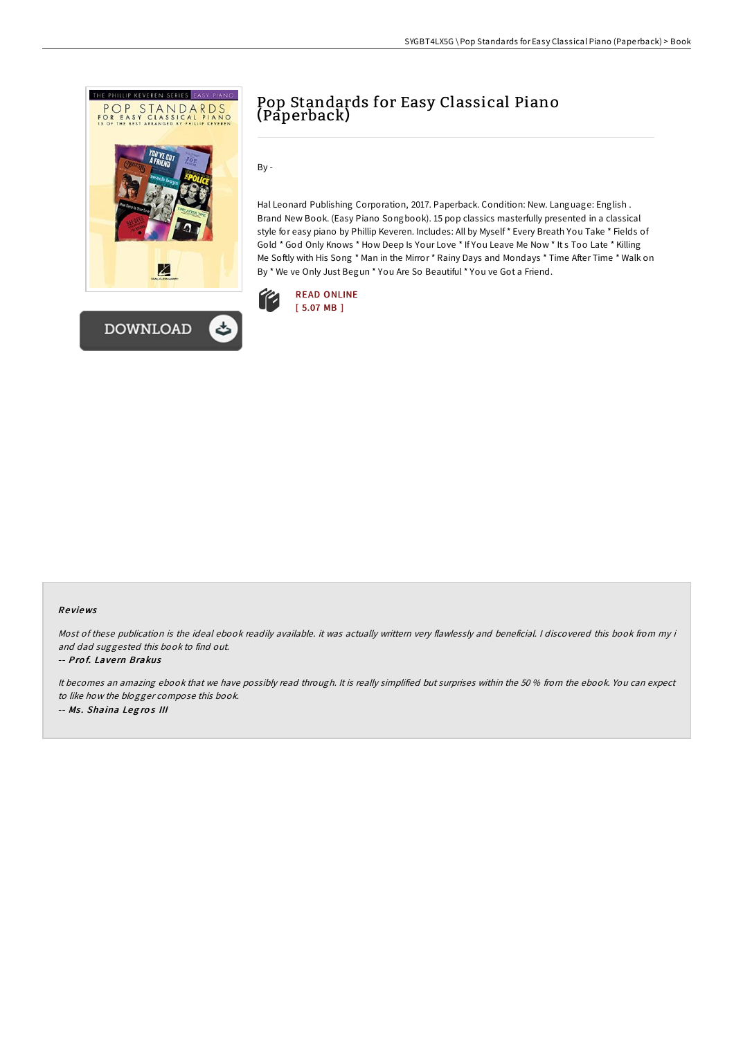



By -

Hal Leonard Publishing Corporation, 2017. Paperback. Condition: New. Language: English . Brand New Book. (Easy Piano Songbook). 15 pop classics masterfully presented in a classical style for easy piano by Phillip Keveren. Includes: All by Myself \* Every Breath You Take \* Fields of Gold \* God Only Knows \* How Deep Is Your Love \* If You Leave Me Now \* It s Too Late \* Killing Me Softly with His Song \* Man in the Mirror \* Rainy Days and Mondays \* Time After Time \* Walk on By \* We ve Only Just Begun \* You Are So Beautiful \* You ve Got a Friend.



## Re views

Most of these publication is the ideal ebook readily available. it was actually writtern very flawlessly and beneficial. I discovered this book from my i and dad suggested this book to find out.

## -- Prof. Lavern Brakus

It becomes an amazing ebook that we have possibly read through. It is really simplified but surprises within the 50 % from the ebook. You can expect to like how the blogger compose this book. -- Ms. Shaina Legros III